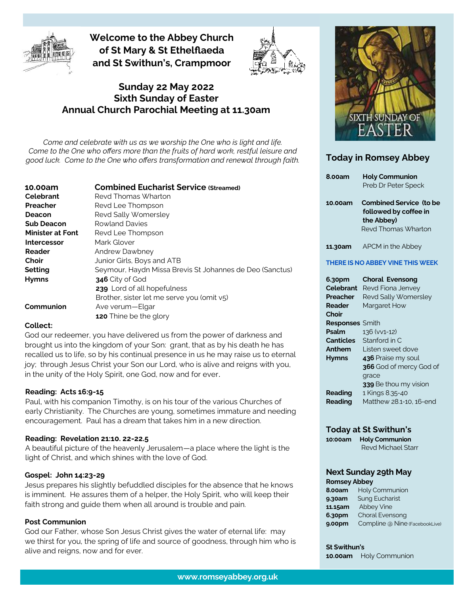

**Welcome to the Abbey Church of St Mary & St Ethelflaeda and St Swithun's, Crampmoor**



### **Sunday 22 May 2022 Sixth Sunday of Easter Annual Church Parochial Meeting at 11.30am**

*Come and celebrate with us as we worship the One who is light and life. Come to the One who offers more than the fruits of hard work, restful leisure and good luck. Come to the One who offers transformation and renewal through faith.* 

| 10.00am                 | <b>Combined Eucharist Service (Streamed)</b>             |
|-------------------------|----------------------------------------------------------|
| Celebrant               | Revd Thomas Wharton                                      |
| Preacher                | Revd Lee Thompson                                        |
| Deacon                  | Revd Sally Womersley                                     |
| <b>Sub Deacon</b>       | <b>Rowland Davies</b>                                    |
| <b>Minister at Font</b> | Revd Lee Thompson                                        |
| Intercessor             | Mark Glover                                              |
| Reader                  | Andrew Dawbney                                           |
| Choir                   | Junior Girls, Boys and ATB                               |
| Setting                 | Seymour, Haydn Missa Brevis St Johannes de Deo (Sanctus) |
| <b>Hymns</b>            | 346 City of God                                          |
|                         | 239 Lord of all hopefulness                              |
|                         | Brother, sister let me serve you (omit v5)               |
| Communion               | Ave verum—Elgar                                          |
|                         | 120 Thine be the glory                                   |

#### **Collect:**

God our redeemer, you have delivered us from the power of darkness and brought us into the kingdom of your Son: grant, that as by his death he has recalled us to life, so by his continual presence in us he may raise us to eternal joy; through Jesus Christ your Son our Lord, who is alive and reigns with you, in the unity of the Holy Spirit, one God, now and for ever.

#### **Reading: Acts 16:9-15**

Paul, with his companion Timothy, is on his tour of the various Churches of early Christianity. The Churches are young, sometimes immature and needing encouragement. Paul has a dream that takes him in a new direction.

#### **Reading: Revelation 21:10. 22-22.5**

A beautiful picture of the heavenly Jerusalem—a place where the light is the light of Christ, and which shines with the love of God.

#### **Gospel: John 14:23-29**

Jesus prepares his slightly befuddled disciples for the absence that he knows is imminent. He assures them of a helper, the Holy Spirit, who will keep their faith strong and guide them when all around is trouble and pain.

#### **Post Communion**

God our Father, whose Son Jesus Christ gives the water of eternal life: may we thirst for you, the spring of life and source of goodness, through him who is alive and reigns, now and for ever.



### **Today in Romsey Abbey**

| <b>8.00am</b>    | <b>Holy Communion</b>            |
|------------------|----------------------------------|
|                  | Preb Dr Peter Speck              |
|                  |                                  |
| 10.00am          | <b>Combined Service (to be</b>   |
|                  | followed by coffee in            |
|                  | the Abbey)                       |
|                  | Revd Thomas Wharton              |
| 11.30am          | APCM in the Abbey                |
|                  |                                  |
|                  | THERE IS NO ABBEY VINE THIS WEEK |
| 6.30pm           | <b>Choral Evensong</b>           |
| Celebrant        | Revd Fiona Jenvey                |
|                  |                                  |
| Preacher         | Revd Sally Womersley             |
| Reader           | Margaret How                     |
| Choir            |                                  |
| <b>Responses</b> | Smith                            |
| Psalm            | 136 (vv1-12)                     |
| <b>Canticles</b> | Stanford in C                    |
| Anthem           | Listen sweet dove                |
| Hymns            | 436 Praise my soul               |
|                  |                                  |
|                  | 366 God of mercy God of          |
|                  | grace                            |
|                  | 339 Be thou my vision            |
| Reading          | 1 Kings 8.35-40                  |

#### **Today at St Swithun's**

**10:00am Holy Communion**  Revd Michael Starr

# **Next Sunday 29th May**

#### **Romsey Abbey**

| <b>8.00am</b> | Holy Communion                 |
|---------------|--------------------------------|
| 9.30am        | Sung Eucharist                 |
| 11.15am       | <b>Abbey Vine</b>              |
| 6.30pm        | Choral Evensong                |
| 9.00pm        | Compline @ Nine (FacebookLive) |

**St Swithun's 10.00am** Holy Communion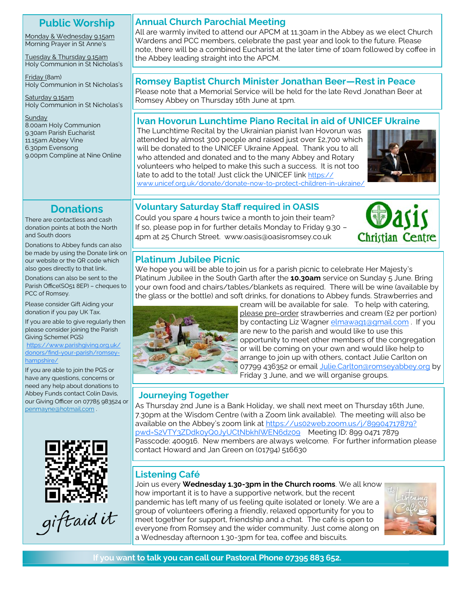# **Public Worship**

Monday & Wednesday 9.15am Morning Prayer in St Anne's

Tuesday & Thursday 9.15am Holy Communion in St Nicholas's

Friday (8am) Holy Communion in St Nicholas's

Saturday 9.15am Holy Communion in St Nicholas's

**Sunday** 8.00am Holy Communion 9.30am Parish Eucharist 11.15am Abbey Vine 6.30pm Evensong 9.00pm Compline at Nine Online

# **Donations**

There are contactless and cash donation points at both the North and South doors

Donations to Abbey funds can also be made by using the Donate link on our website or the QR code which also goes directly to that link..

Donations can also be sent to the Parish Office(SO51 8EP) – cheques to PCC of Romsey.

Please consider Gift Aiding your donation if you pay UK Tax.

If you are able to give regularly then please consider joining the Parish Giving Scheme( PGS)

[https://www.parishgiving.org.uk/](https://www.parishgiving.org.uk/donors/find-your-parish/romsey-hampshire/) donors/find-your-[parish/romsey](https://www.parishgiving.org.uk/donors/find-your-parish/romsey-hampshire/)[hampshire/](https://www.parishgiving.org.uk/donors/find-your-parish/romsey-hampshire/)

If you are able to join the PGS or have any questions, concerns or need any help about donations to Abbey Funds contact Colin Davis, our Giving Officer on 07785 983524 or [penmayne@hotmail.com](mailto:penmayne@hotmail.com) .



### **Annual Church Parochial Meeting**

All are warmly invited to attend our APCM at 11.30am in the Abbey as we elect Church Wardens and PCC members, celebrate the past year and look to the future. Please note, there will be a combined Eucharist at the later time of 10am followed by coffee in the Abbey leading straight into the APCM.

## **Romsey Baptist Church Minister Jonathan Beer—Rest in Peace**

Please note that a Memorial Service will be held for the late Revd Jonathan Beer at Romsey Abbey on Thursday 16th June at 1pm.

# **Ivan Hovorun Lunchtime Piano Recital in aid of UNICEF Ukraine**

The Lunchtime Recital by the Ukrainian pianist Ivan Hovorun was attended by almost 300 people and raised just over £2,700 which will be donated to the UNICEF Ukraine Appeal. Thank you to all who attended and donated and to the many Abbey and Rotary volunteers who helped to make this such a success. It is not too late to add to the total! Just click the UNICEF link [https://](https://www.unicef.org.uk/donate/donate-now-to-protect-children-in-ukraine/) [www.unicef.org.uk/donate/donate](https://www.unicef.org.uk/donate/donate-now-to-protect-children-in-ukraine/)-now-to-protect-children-in-ukraine



# **Voluntary Saturday Staff required in OASIS**

Could you spare 4 hours twice a month to join their team? If so, please pop in for further details Monday to Friday 9.30 – 4pm at 25 Church Street. www.oasis@oasisromsey.co.uk



# **Platinum Jubilee Picnic**

We hope you will be able to join us for a parish picnic to celebrate Her Majesty's Platinum Jubilee in the South Garth after the **10.30am** service on Sunday 5 June. Bring your own food and chairs/tables/blankets as required. There will be wine (available by the glass or the bottle) and soft drinks, for donations to Abbey funds. Strawberries and



cream will be available for sale. To help with catering, please pre-order strawberries and cream (£2 per portion) by contacting Liz Wagner [elmawag1@gmail.com](mailto:elmawag1@gmail.com). If you are new to the parish and would like to use this opportunity to meet other members of the congregation or will be coming on your own and would like help to arrange to join up with others, contact Julie Carlton on 07799 436352 or email [Julie.Carlton@romseyabbey.org](mailto:Julie.Carlton@romseyabbey.org) by Friday 3 June, and we will organise groups.

# **Journeying Together**

As Thursday 2nd June is a Bank Holiday, we shall next meet on Thursday 16th June, 7.30pm at the Wisdom Centre (with a Zoom link available). The meeting will also be available on the Abbey's zoom link at [https://us02web.zoom.us/j/89904717879?](https://us02web.zoom.us/j/89904717879?pwd=S2VTY3ZDdk0yQ0JyUCtNbkhIWEN6dz09) [pwd=S2VTY3ZDdk0yQ0JyUCtNbkhIWEN6dz09](https://us02web.zoom.us/j/89904717879?pwd=S2VTY3ZDdk0yQ0JyUCtNbkhIWEN6dz09) Meeting ID: 899 0471 7879 Passcode: 400916. New members are always welcome. For further information please contact Howard and Jan Green on (01794) 516630

# **Listening Café**

Join us every **Wednesday 1.30-3pm in the Church rooms**. We all know how important it is to have a supportive network, but the recent pandemic has left many of us feeling quite isolated or lonely. We are a group of volunteers offering a friendly, relaxed opportunity for you to meet together for support, friendship and a chat. The café is open to everyone from Romsey and the wider community. Just come along on a Wednesday afternoon 1.30-3pm for tea, coffee and biscuits.



**If you want to talk you can call our Pastoral Phone 07395 883 652.**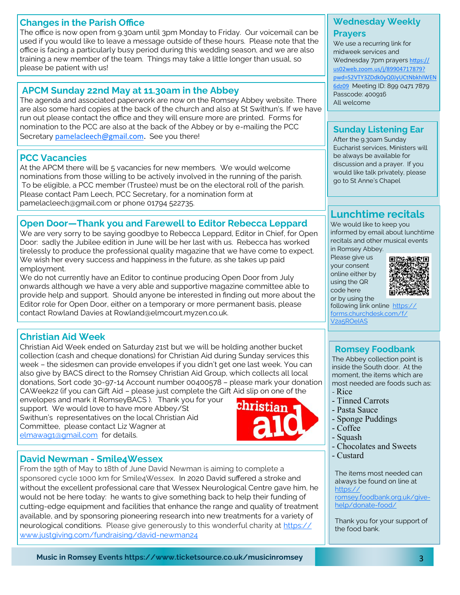### **Changes in the Parish Office**

The office is now open from 9.30am until 3pm Monday to Friday. Our voicemail can be used if you would like to leave a message outside of these hours. Please note that the office is facing a particularly busy period during this wedding season, and we are also training a new member of the team. Things may take a little longer than usual, so please be patient with us!

# **APCM Sunday 22nd May at 11.30am in the Abbey**

The agenda and associated paperwork are now on the Romsey Abbey website. There are also some hard copies at the back of the church and also at St Swithun's. If we have run out please contact the office and they will ensure more are printed. Forms for nomination to the PCC are also at the back of the Abbey or by e-mailing the PCC Secretary [pamelacleech@gmail.com.](mailto:pamelacleech@gmail.com) See you there!

# **PCC Vacancies**

At the APCM there will be 5 vacancies for new members. We would welcome nominations from those willing to be actively involved in the running of the parish. To be eligible, a PCC member (Trustee) must be on the electoral roll of the parish. Please contact Pam Leech, PCC Secretary, for a nomination form at pamelacleech@gmail.com or phone 01794 522735.

# **Open Door—Thank you and Farewell to Editor Rebecca Leppard**

We are very sorry to be saying goodbye to Rebecca Leppard, Editor in Chief, for Open Door: sadly the Jubilee edition in June will be her last with us. Rebecca has worked tirelessly to produce the professional quality magazine that we have come to expect. We wish her every success and happiness in the future, as she takes up paid employment.

We do not currently have an Editor to continue producing Open Door from July onwards although we have a very able and supportive magazine committee able to provide help and support. Should anyone be interested in finding out more about the Editor role for Open Door, either on a temporary or more permanent basis, please contact Rowland Davies at Rowland@elmcourt.myzen.co.uk.

# **Christian Aid Week**

Christian Aid Week ended on Saturday 21st but we will be holding another bucket collection (cash and cheque donations) for Christian Aid during Sunday services this week – the sidesmen can provide envelopes if you didn't get one last week. You can also give by BACS direct to the Romsey Christian Aid Group, which collects all local donations, Sort code 30-97-14 Account number 00400578 – please mark your donation CAWeek22 (if you can Gift Aid – please just complete the Gift Aid slip on one of the

envelopes and mark it RomseyBACS ). Thank you for your support. We would love to have more Abbey/St Swithun's representatives on the local Christian Aid Committee, please contact Liz Wagner at [elmawag1@gmail.com](mailto:elmawag1@gmail.com) for details.

# **David Newman - Smile4Wessex**

From the 19th of May to 18th of June David Newman is aiming to complete a sponsored cycle 1000 km for Smile4Wessex. In 2020 David suffered a stroke and without the excellent professional care that Wessex Neurological Centre gave him, he would not be here today: he wants to give something back to help their funding of cutting-edge equipment and facilities that enhance the range and quality of treatment available, and by sponsoring pioneering research into new treatments for a variety of neurological conditions. Please give generously to this wonderful charity at [https://](https://www.justgiving.com/fundraising/david-newman24) [www.justgiving.com/fundraising/david](https://www.justgiving.com/fundraising/david-newman24)-newman24

# **Wednesday Weekly**

#### **Prayers**

We use a recurring link for midweek services and Wednesday 7pm prayers [https://](https://us02web.zoom.us/j/89904717879?pwd=S2VTY3ZDdk0yQ0JyUCtNbkhIWEN6dz09) [us02web.zoom.us/j/89904717879?](https://us02web.zoom.us/j/89904717879?pwd=S2VTY3ZDdk0yQ0JyUCtNbkhIWEN6dz09) [pwd=S2VTY3ZDdk0yQ0JyUCtNbkhIWEN](https://us02web.zoom.us/j/89904717879?pwd=S2VTY3ZDdk0yQ0JyUCtNbkhIWEN6dz09) [6dz09](https://us02web.zoom.us/j/89904717879?pwd=S2VTY3ZDdk0yQ0JyUCtNbkhIWEN6dz09) Meeting ID: 899 0471 7879

Passcode: 400916 All welcome

## **Sunday Listening Ear**

After the 9.30am Sunday Eucharist services, Ministers will be always be available for discussion and a prayer. If you would like talk privately, please go to St Anne's Chapel

# **Lunchtime recitals**

We would like to keep you informed by email about lunchtime recitals and other musical events in Romsey Abbey.

Please give us your consent online either by using the QR code here or by using the



following link online [https://](https://forms.churchdesk.com/f/V2a5ROeIAS) [forms.churchdesk.com/f/](https://forms.churchdesk.com/f/V2a5ROeIAS) [V2a5ROeIAS](https://forms.churchdesk.com/f/V2a5ROeIAS)

### **Romsey Foodbank**

The Abbey collection point is inside the South door. At the moment, the items which are most needed are foods such as:

- Rice

christian

- Tinned Carrots
- Pasta Sauce
- Sponge Puddings
- Coffee
- Squash
- Chocolates and Sweets
- Custard

The items most needed can always be found on line at [https://](https://romsey.foodbank.org.uk/give-help/donate-food/)

[romsey.foodbank.org.uk/give](https://romsey.foodbank.org.uk/give-help/donate-food/)[help/donate](https://romsey.foodbank.org.uk/give-help/donate-food/)-food/

Thank you for your support of the food bank.

**Music in Romsey Events https://www.ticketsource.co.uk/musicinromsey**